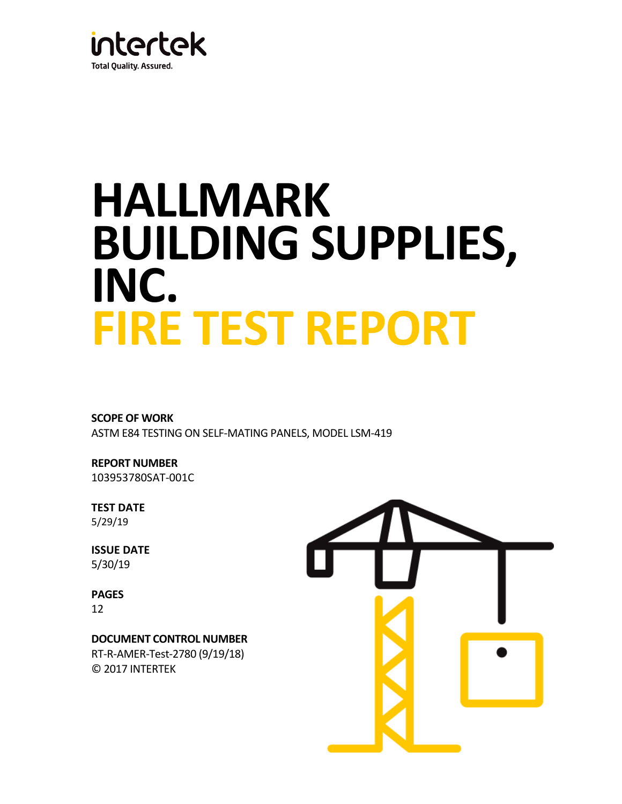

# **HALLMARK BUILDING SUPPLIES, INC. FIRE TEST REPORT**

**SCOPE OF WORK** ASTM E84 TESTING ON SELF-MATING PANELS, MODEL LSM-419

**REPORT NUMBER** 103953780SAT-001C

**TEST DATE** 5/29/19

**ISSUE DATE** 5/30/19

**PAGES** 12

**DOCUMENT CONTROL NUMBER** RT-R-AMER-Test-2780 (9/19/18) © 2017 INTERTEK

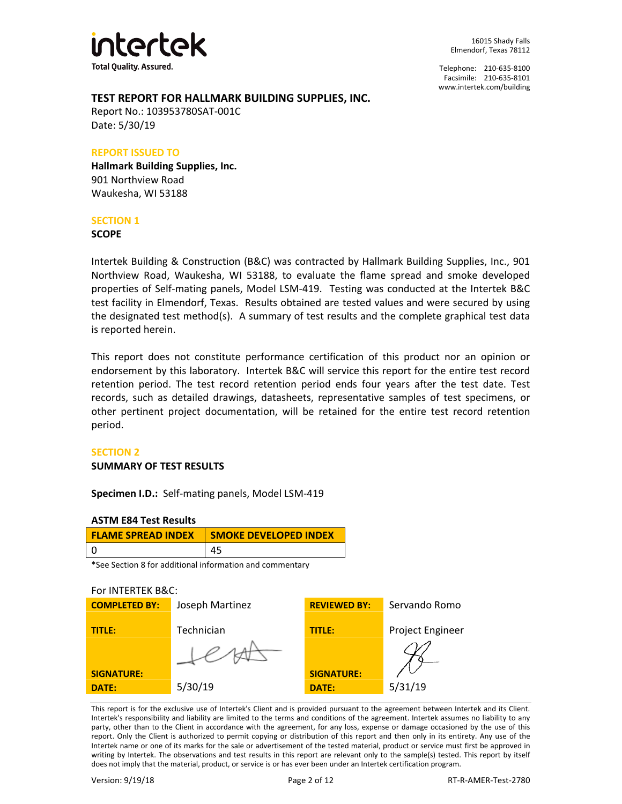

Telephone: 210-635-8100 Facsimile: 210-635-8101 [www.intertek.com/building](http://www.intertek.com/building)

## **TEST REPORT FOR HALLMARK BUILDING SUPPLIES, INC.**

Report No.: 103953780SAT-001C Date: 5/30/19

#### **REPORT ISSUED TO**

**Hallmark Building Supplies, Inc.** 901 Northview Road Waukesha, WI 53188

## **SECTION 1**

**SCOPE**

Intertek Building & Construction (B&C) was contracted by Hallmark Building Supplies, Inc., 901 Northview Road, Waukesha, WI 53188, to evaluate the flame spread and smoke developed properties of Self-mating panels, Model LSM-419. Testing was conducted at the Intertek B&C test facility in Elmendorf, Texas. Results obtained are tested values and were secured by using the designated test method(s). A summary of test results and the complete graphical test data is reported herein.

This report does not constitute performance certification of this product nor an opinion or endorsement by this laboratory. Intertek B&C will service this report for the entire test record retention period. The test record retention period ends four years after the test date. Test records, such as detailed drawings, datasheets, representative samples of test specimens, or other pertinent project documentation, will be retained for the entire test record retention period.

## **SECTION 2**

## **SUMMARY OF TEST RESULTS**

**Specimen I.D.:** Self-mating panels, Model LSM-419

## **ASTM E84 Test Results**

| <b>FLAME SPREAD INDEX</b> | <b>SMOKE DEVELOPED INDEX</b> |  |
|---------------------------|------------------------------|--|
|                           |                              |  |

\*See Section 8 for additional information and commentary

## For INTERTEK B&C:

| <b>COMPLETED BY:</b> | Joseph Martinez | <b>REVIEWED BY:</b> | Servando Romo           |
|----------------------|-----------------|---------------------|-------------------------|
| TITLE:               | Technician      | <b>TITLE:</b>       | <b>Project Engineer</b> |
|                      |                 | <b>SIGNATURE:</b>   |                         |
| <b>SIGNATURE:</b>    |                 |                     |                         |
| DATE:                | 5/30/19         | <b>DATE:</b>        | 5/31/19                 |

This report is for the exclusive use of Intertek's Client and is provided pursuant to the agreement between Intertek and its Client. Intertek's responsibility and liability are limited to the terms and conditions of the agreement. Intertek assumes no liability to any party, other than to the Client in accordance with the agreement, for any loss, expense or damage occasioned by the use of this report. Only the Client is authorized to permit copying or distribution of this report and then only in its entirety. Any use of the Intertek name or one of its marks for the sale or advertisement of the tested material, product or service must first be approved in writing by Intertek. The observations and test results in this report are relevant only to the sample(s) tested. This report by itself does not imply that the material, product, or service is or has ever been under an Intertek certification program.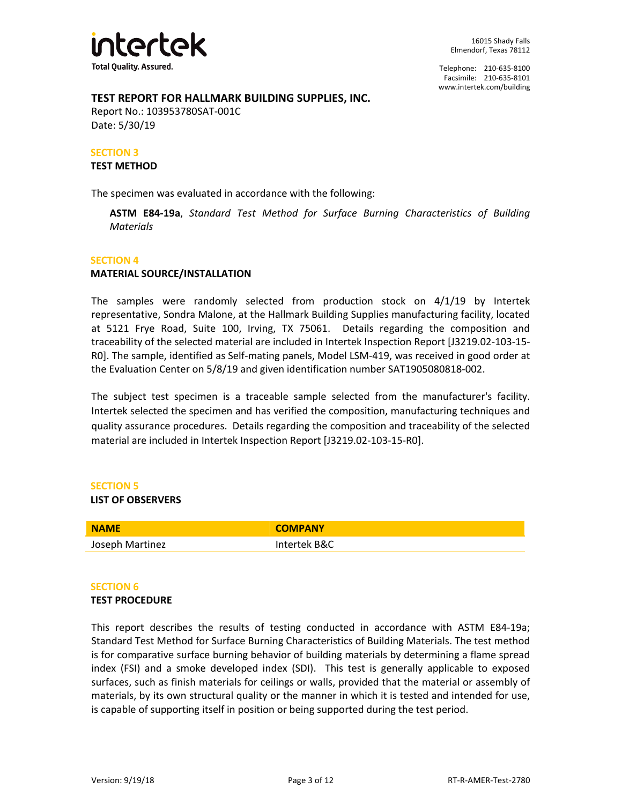

## **TEST REPORT FOR HALLMARK BUILDING SUPPLIES, INC.**

Report No.: 103953780SAT-001C Date: 5/30/19

## **SECTION 3**

## **TEST METHOD**

The specimen was evaluated in accordance with the following:

**ASTM E84-19a**, *Standard Test Method for Surface Burning Characteristics of Building Materials*

#### **SECTION 4**

## **MATERIAL SOURCE/INSTALLATION**

The samples were randomly selected from production stock on 4/1/19 by Intertek representative, Sondra Malone, at the Hallmark Building Supplies manufacturing facility, located at 5121 Frye Road, Suite 100, Irving, TX 75061. Details regarding the composition and traceability of the selected material are included in Intertek Inspection Report [J3219.02-103-15- R0]. The sample, identified as Self-mating panels, Model LSM-419, was received in good order at the Evaluation Center on 5/8/19 and given identification number SAT1905080818-002.

The subject test specimen is a traceable sample selected from the manufacturer's facility. Intertek selected the specimen and has verified the composition, manufacturing techniques and quality assurance procedures. Details regarding the composition and traceability of the selected material are included in Intertek Inspection Report [J3219.02-103-15-R0].

## **SECTION 5**

#### **LIST OF OBSERVERS**

| <b>NAME</b>     | <b>COMPANY</b> |
|-----------------|----------------|
| Joseph Martinez | Intertek B&C   |

## **SECTION 6**

#### **TEST PROCEDURE**

This report describes the results of testing conducted in accordance with ASTM E84-19a; Standard Test Method for Surface Burning Characteristics of Building Materials. The test method is for comparative surface burning behavior of building materials by determining a flame spread index (FSI) and a smoke developed index (SDI). This test is generally applicable to exposed surfaces, such as finish materials for ceilings or walls, provided that the material or assembly of materials, by its own structural quality or the manner in which it is tested and intended for use, is capable of supporting itself in position or being supported during the test period.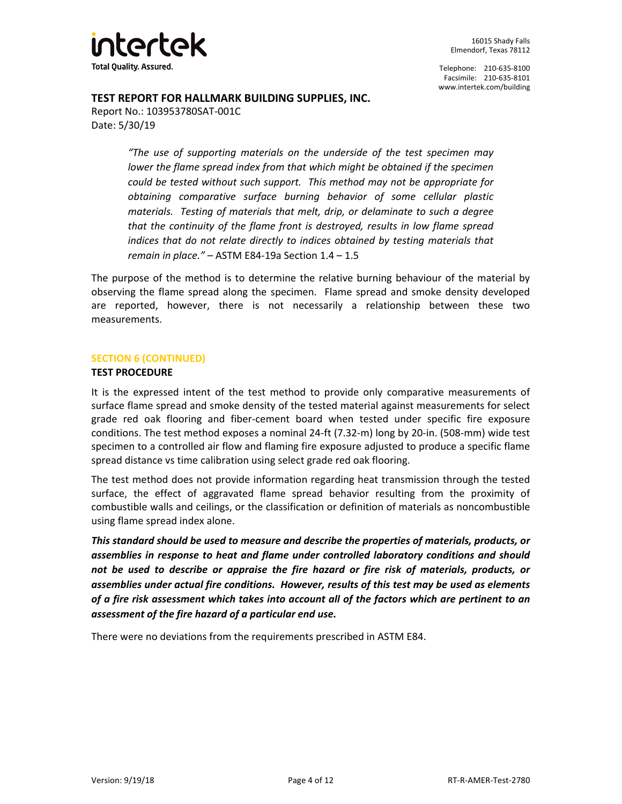

**TEST REPORT FOR HALLMARK BUILDING SUPPLIES, INC.**

Report No.: 103953780SAT-001C Date: 5/30/19

> *"The use of supporting materials on the underside of the test specimen may lower the flame spread index from that which might be obtained if the specimen could be tested without such support. This method may not be appropriate for obtaining comparative surface burning behavior of some cellular plastic materials. Testing of materials that melt, drip, or delaminate to such a degree that the continuity of the flame front is destroyed, results in low flame spread indices that do not relate directly to indices obtained by testing materials that remain in place." –* ASTM E84-19a Section 1.4 – 1.5

The purpose of the method is to determine the relative burning behaviour of the material by observing the flame spread along the specimen. Flame spread and smoke density developed are reported, however, there is not necessarily a relationship between these two measurements.

## **SECTION 6 (CONTINUED)**

## **TEST PROCEDURE**

It is the expressed intent of the test method to provide only comparative measurements of surface flame spread and smoke density of the tested material against measurements for select grade red oak flooring and fiber-cement board when tested under specific fire exposure conditions. The test method exposes a nominal 24-ft (7.32-m) long by 20-in. (508-mm) wide test specimen to a controlled air flow and flaming fire exposure adjusted to produce a specific flame spread distance vs time calibration using select grade red oak flooring.

The test method does not provide information regarding heat transmission through the tested surface, the effect of aggravated flame spread behavior resulting from the proximity of combustible walls and ceilings, or the classification or definition of materials as noncombustible using flame spread index alone.

*This standard should be used to measure and describe the properties of materials, products, or assemblies in response to heat and flame under controlled laboratory conditions and should not be used to describe or appraise the fire hazard or fire risk of materials, products, or assemblies under actual fire conditions. However, results of this test may be used as elements of a fire risk assessment which takes into account all of the factors which are pertinent to an assessment of the fire hazard of a particular end use.*

There were no deviations from the requirements prescribed in ASTM E84.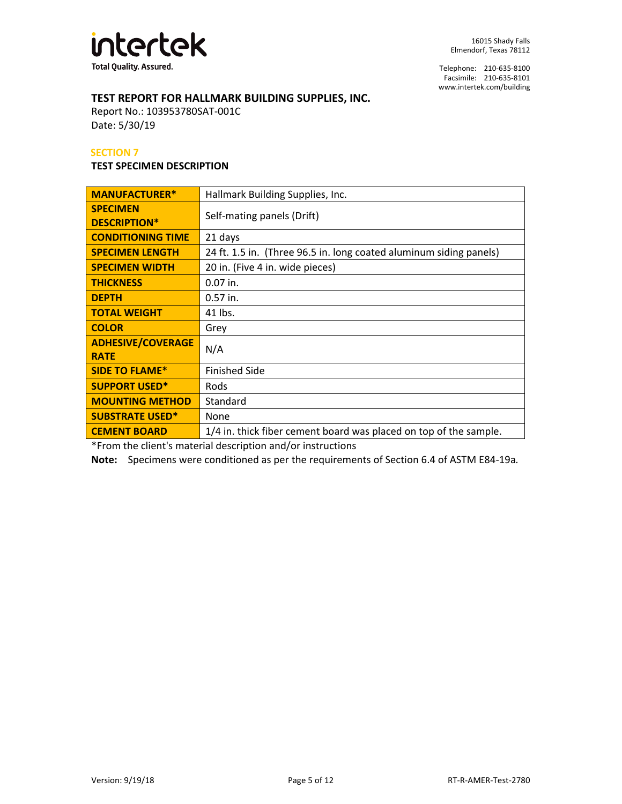

# **TEST REPORT FOR HALLMARK BUILDING SUPPLIES, INC.**

Report No.: 103953780SAT-001C Date: 5/30/19

## **SECTION 7**

## **TEST SPECIMEN DESCRIPTION**

| <b>MANUFACTURER*</b>                    | Hallmark Building Supplies, Inc.                                   |  |
|-----------------------------------------|--------------------------------------------------------------------|--|
| <b>SPECIMEN</b><br><b>DESCRIPTION*</b>  | Self-mating panels (Drift)                                         |  |
| <b>CONDITIONING TIME</b>                | 21 days                                                            |  |
| <b>SPECIMEN LENGTH</b>                  | 24 ft. 1.5 in. (Three 96.5 in. long coated aluminum siding panels) |  |
| <b>SPECIMEN WIDTH</b>                   | 20 in. (Five 4 in. wide pieces)                                    |  |
| <b>THICKNESS</b>                        | $0.07$ in.                                                         |  |
| <b>DEPTH</b>                            | $0.57$ in.                                                         |  |
| <b>TOTAL WEIGHT</b>                     | 41 lbs.                                                            |  |
| <b>COLOR</b>                            | Grey                                                               |  |
| <b>ADHESIVE/COVERAGE</b><br><b>RATE</b> | N/A                                                                |  |
| <b>SIDE TO FLAME*</b>                   | <b>Finished Side</b>                                               |  |
| <b>SUPPORT USED*</b>                    | Rods                                                               |  |
| <b>MOUNTING METHOD</b>                  | Standard                                                           |  |
| <b>SUBSTRATE USED*</b>                  | None                                                               |  |
| <b>CEMENT BOARD</b>                     | 1/4 in. thick fiber cement board was placed on top of the sample.  |  |

\*From the client's material description and/or instructions

**Note:** Specimens were conditioned as per the requirements of Section 6.4 of ASTM E84-19a*.*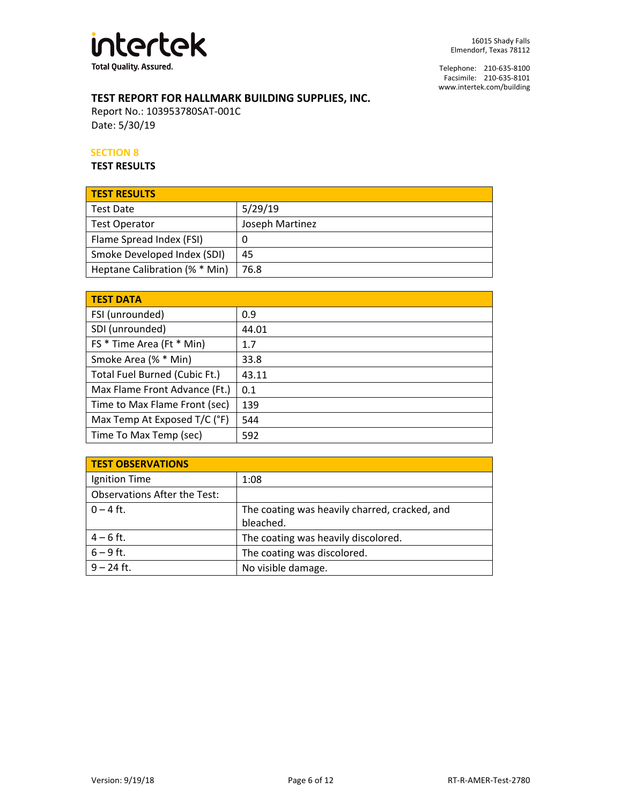

# **TEST REPORT FOR HALLMARK BUILDING SUPPLIES, INC.**

Report No.: 103953780SAT-001C Date: 5/30/19

## **SECTION 8**

**TEST RESULTS**

| <b>TEST RESULTS</b>           |                 |
|-------------------------------|-----------------|
| <b>Test Date</b>              | 5/29/19         |
| <b>Test Operator</b>          | Joseph Martinez |
| Flame Spread Index (FSI)      |                 |
| Smoke Developed Index (SDI)   | 45              |
| Heptane Calibration (% * Min) | 76.8            |

| <b>TEST DATA</b>              |       |  |
|-------------------------------|-------|--|
| FSI (unrounded)               | 0.9   |  |
| SDI (unrounded)               | 44.01 |  |
| FS * Time Area (Ft * Min)     | 1.7   |  |
| Smoke Area (% * Min)          | 33.8  |  |
| Total Fuel Burned (Cubic Ft.) | 43.11 |  |
| Max Flame Front Advance (Ft.) | 0.1   |  |
| Time to Max Flame Front (sec) | 139   |  |
| Max Temp At Exposed T/C (°F)  | 544   |  |
| Time To Max Temp (sec)        | 592   |  |

| <b>TEST OBSERVATIONS</b>            |                                               |
|-------------------------------------|-----------------------------------------------|
| Ignition Time                       | 1:08                                          |
| <b>Observations After the Test:</b> |                                               |
| $0 - 4$ ft.                         | The coating was heavily charred, cracked, and |
|                                     | bleached.                                     |
| $4 - 6$ ft.                         | The coating was heavily discolored.           |
| $6 - 9$ ft.                         | The coating was discolored.                   |
| $9 - 24$ ft.                        | No visible damage.                            |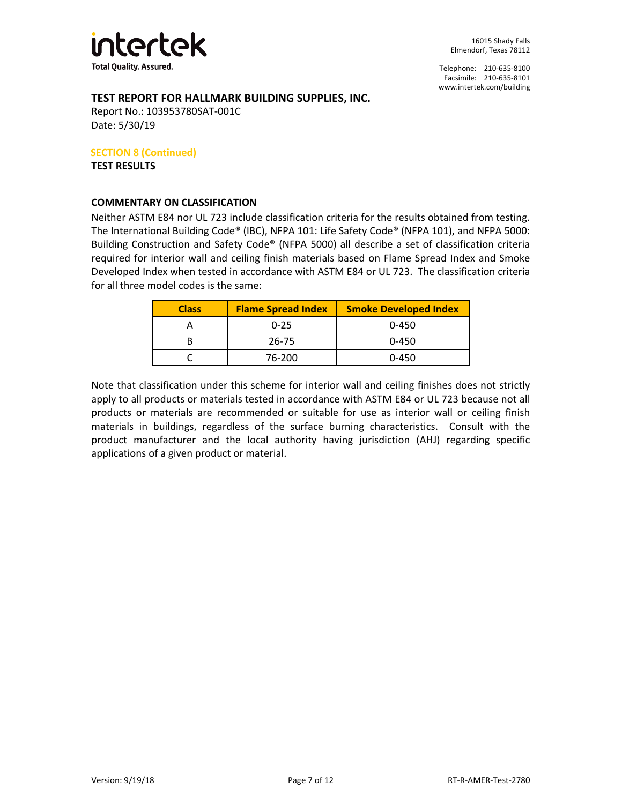

Telephone: 210-635-8100 Facsimile: 210-635-8101 [www.intertek.com/building](http://www.intertek.com/building)

# **TEST REPORT FOR HALLMARK BUILDING SUPPLIES, INC.**

Report No.: 103953780SAT-001C Date: 5/30/19

## **SECTION 8 (Continued)**

**TEST RESULTS**

## **COMMENTARY ON CLASSIFICATION**

Neither ASTM E84 nor UL 723 include classification criteria for the results obtained from testing. The International Building Code® (IBC), NFPA 101: Life Safety Code® (NFPA 101), and NFPA 5000: Building Construction and Safety Code® (NFPA 5000) all describe a set of classification criteria required for interior wall and ceiling finish materials based on Flame Spread Index and Smoke Developed Index when tested in accordance with ASTM E84 or UL 723. The classification criteria for all three model codes is the same:

| <b>Class</b> | <b>Flame Spread Index</b> | <b>Smoke Developed Index</b> |  |
|--------------|---------------------------|------------------------------|--|
|              | $0 - 25$                  | $0 - 450$                    |  |
|              | 26-75                     | $0 - 450$                    |  |
|              | 76-200                    | $0 - 450$                    |  |

Note that classification under this scheme for interior wall and ceiling finishes does not strictly apply to all products or materials tested in accordance with ASTM E84 or UL 723 because not all products or materials are recommended or suitable for use as interior wall or ceiling finish materials in buildings, regardless of the surface burning characteristics. Consult with the product manufacturer and the local authority having jurisdiction (AHJ) regarding specific applications of a given product or material.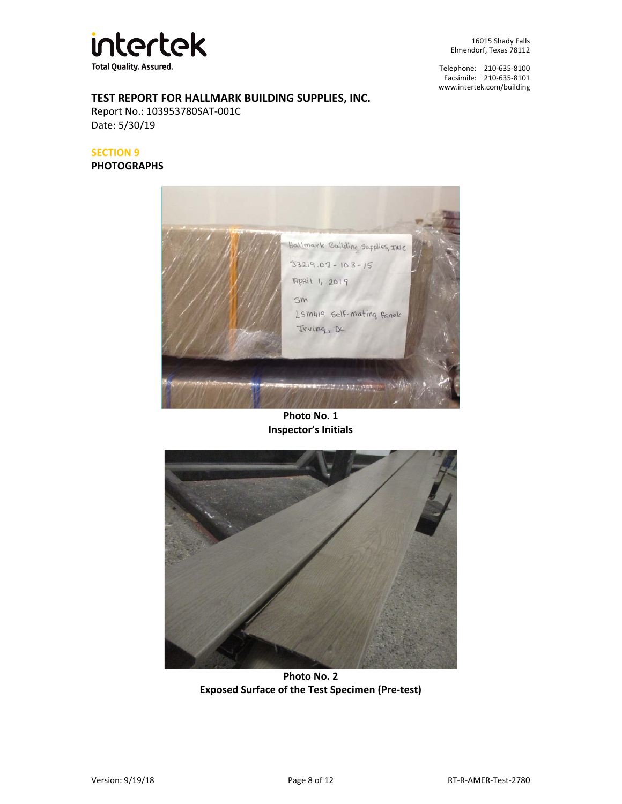

Telephone: 210-635-8100 Facsimile: 210-635-8101 [www.intertek.com/building](http://www.intertek.com/building)

# **TEST REPORT FOR HALLMARK BUILDING SUPPLIES, INC.**

Report No.: 103953780SAT-001C Date: 5/30/19

## **SECTION 9**

**PHOTOGRAPHS**



**Photo No. 1 Inspector's Initials**



**Photo No. 2 Exposed Surface of the Test Specimen (Pre-test)**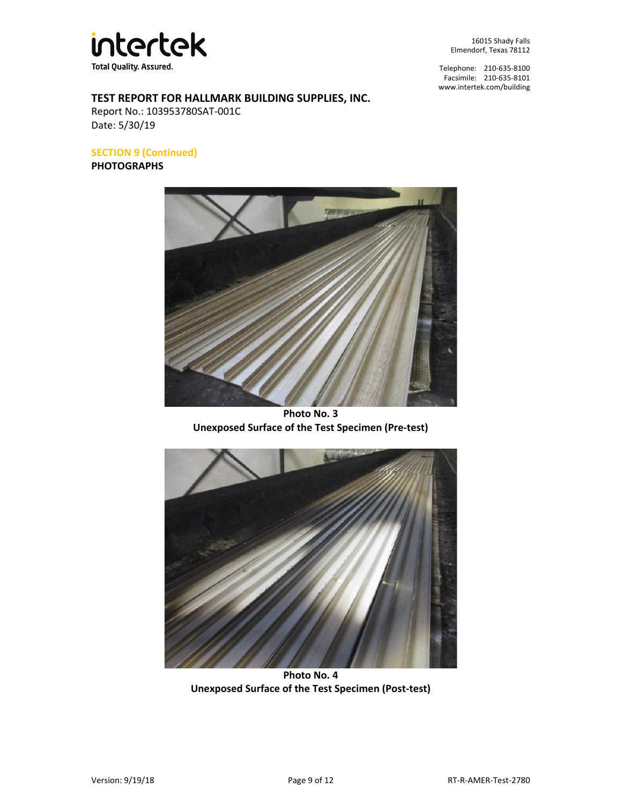

Telephone: 210-635-8100 Facsimile: 210-635-8101 [www.intertek.com/building](http://www.intertek.com/building)

# **TEST REPORT FOR HALLMARK BUILDING SUPPLIES, INC.**

Report No.: 103953780SAT-001C Date: 5/30/19

**SECTION 9 (Continued)**

**PHOTOGRAPHS**



**Photo No. 3 Unexposed Surface of the Test Specimen (Pre-test)**



**Photo No. 4 Unexposed Surface of the Test Specimen (Post-test)**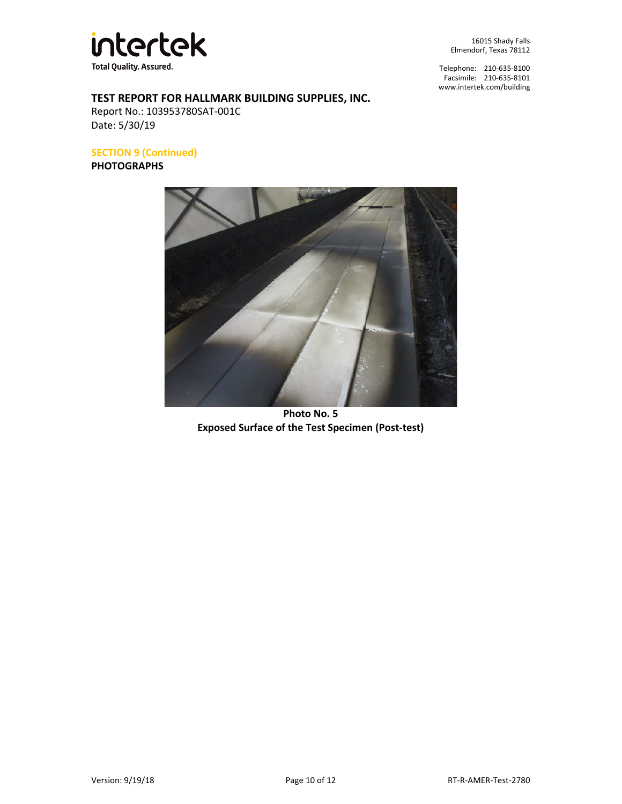

Telephone: 210-635-8100 Facsimile: 210-635-8101 [www.intertek.com/building](http://www.intertek.com/building)

# **TEST REPORT FOR HALLMARK BUILDING SUPPLIES, INC.**

Report No.: 103953780SAT-001C Date: 5/30/19

**SECTION 9 (Continued)**

**PHOTOGRAPHS**



**Photo No. 5 Exposed Surface of the Test Specimen (Post-test)**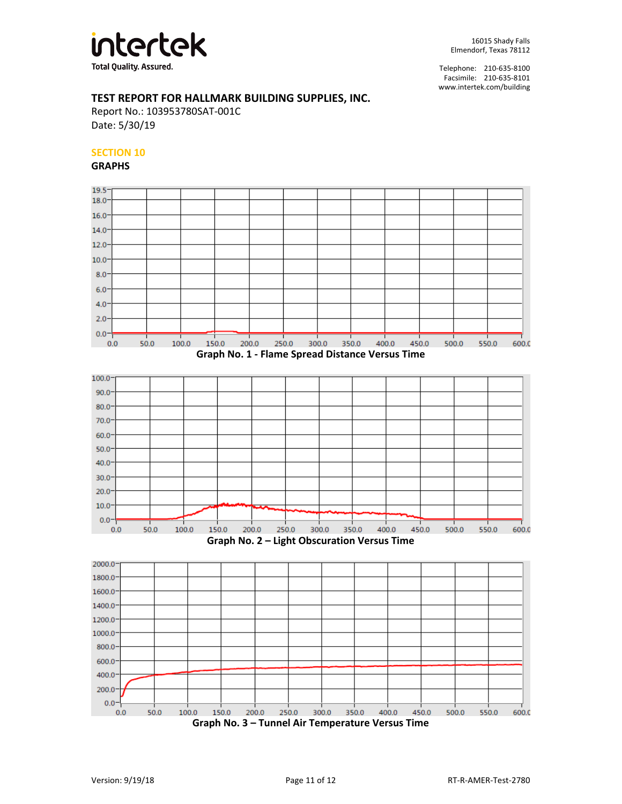

## **TEST REPORT FOR HALLMARK BUILDING SUPPLIES, INC.**

Report No.: 103953780SAT-001C Date: 5/30/19

## **SECTION 10**

**GRAPHS**